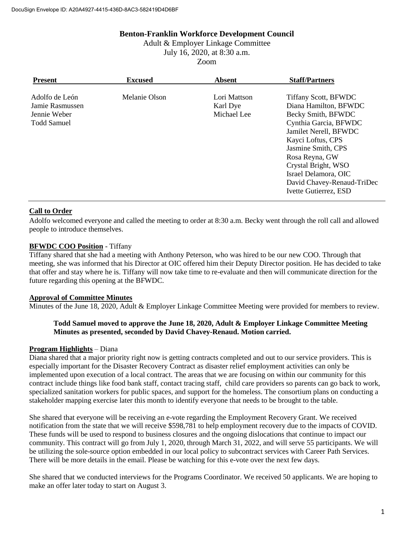### **Benton-Franklin Workforce Development Council**

Adult & Employer Linkage Committee July 16, 2020, at 8:30 a.m. Zoom

| <b>Present</b>                                                          | <b>Excused</b> | Absent                                  | <b>Staff/Partners</b>                                                                                                                                                                                                                                                                    |
|-------------------------------------------------------------------------|----------------|-----------------------------------------|------------------------------------------------------------------------------------------------------------------------------------------------------------------------------------------------------------------------------------------------------------------------------------------|
| Adolfo de León<br>Jamie Rasmussen<br>Jennie Weber<br><b>Todd Samuel</b> | Melanie Olson  | Lori Mattson<br>Karl Dye<br>Michael Lee | Tiffany Scott, BFWDC<br>Diana Hamilton, BFWDC<br>Becky Smith, BFWDC<br>Cynthia Garcia, BFWDC<br>Jamilet Nerell, BFWDC<br>Kayci Loftus, CPS<br>Jasmine Smith, CPS<br>Rosa Reyna, GW<br>Crystal Bright, WSO<br>Israel Delamora, OIC<br>David Chavey-Renaud-TriDec<br>Ivette Gutierrez, ESD |

# **Call to Order**

Adolfo welcomed everyone and called the meeting to order at 8:30 a.m. Becky went through the roll call and allowed people to introduce themselves.

### **BFWDC COO Position** - Tiffany

Tiffany shared that she had a meeting with Anthony Peterson, who was hired to be our new COO. Through that meeting, she was informed that his Director at OIC offered him their Deputy Director position. He has decided to take that offer and stay where he is. Tiffany will now take time to re-evaluate and then will communicate direction for the future regarding this opening at the BFWDC.

# **Approval of Committee Minutes**

Minutes of the June 18, 2020, Adult & Employer Linkage Committee Meeting were provided for members to review.

### **Todd Samuel moved to approve the June 18, 2020, Adult & Employer Linkage Committee Meeting Minutes as presented, seconded by David Chavey-Renaud. Motion carried.**

# **Program Highlights** – Diana

Diana shared that a major priority right now is getting contracts completed and out to our service providers. This is especially important for the Disaster Recovery Contract as disaster relief employment activities can only be implemented upon execution of a local contract. The areas that we are focusing on within our community for this contract include things like food bank staff, contact tracing staff, child care providers so parents can go back to work, specialized sanitation workers for public spaces, and support for the homeless. The consortium plans on conducting a stakeholder mapping exercise later this month to identify everyone that needs to be brought to the table.

She shared that everyone will be receiving an e-vote regarding the Employment Recovery Grant. We received notification from the state that we will receive \$598,781 to help employment recovery due to the impacts of COVID. These funds will be used to respond to business closures and the ongoing dislocations that continue to impact our community. This contract will go from July 1, 2020, through March 31, 2022, and will serve 55 participants. We will be utilizing the sole-source option embedded in our local policy to subcontract services with Career Path Services. There will be more details in the email. Please be watching for this e-vote over the next few days.

She shared that we conducted interviews for the Programs Coordinator. We received 50 applicants. We are hoping to make an offer later today to start on August 3.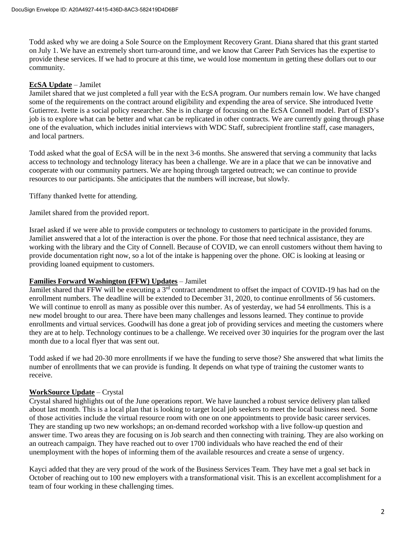Todd asked why we are doing a Sole Source on the Employment Recovery Grant. Diana shared that this grant started on July 1. We have an extremely short turn-around time, and we know that Career Path Services has the expertise to provide these services. If we had to procure at this time, we would lose momentum in getting these dollars out to our community.

#### **EcSA Update** – Jamilet

Jamilet shared that we just completed a full year with the EcSA program. Our numbers remain low. We have changed some of the requirements on the contract around eligibility and expending the area of service. She introduced Ivette Gutierrez. Ivette is a social policy researcher. She is in charge of focusing on the EcSA Connell model. Part of ESD's job is to explore what can be better and what can be replicated in other contracts. We are currently going through phase one of the evaluation, which includes initial interviews with WDC Staff, subrecipient frontline staff, case managers, and local partners.

Todd asked what the goal of EcSA will be in the next 3-6 months. She answered that serving a community that lacks access to technology and technology literacy has been a challenge. We are in a place that we can be innovative and cooperate with our community partners. We are hoping through targeted outreach; we can continue to provide resources to our participants. She anticipates that the numbers will increase, but slowly.

Tiffany thanked Ivette for attending.

Jamilet shared from the provided report.

Israel asked if we were able to provide computers or technology to customers to participate in the provided forums. Jamiliet answered that a lot of the interaction is over the phone. For those that need technical assistance, they are working with the library and the City of Connell. Because of COVID, we can enroll customers without them having to provide documentation right now, so a lot of the intake is happening over the phone. OIC is looking at leasing or providing loaned equipment to customers.

#### **Families Forward Washington (FFW) Updates** – Jamilet

Jamilet shared that FFW will be executing a  $3<sup>rd</sup>$  contract amendment to offset the impact of COVID-19 has had on the enrollment numbers. The deadline will be extended to December 31, 2020, to continue enrollments of 56 customers. We will continue to enroll as many as possible over this number. As of yesterday, we had 54 enrollments. This is a new model brought to our area. There have been many challenges and lessons learned. They continue to provide enrollments and virtual services. Goodwill has done a great job of providing services and meeting the customers where they are at to help. Technology continues to be a challenge. We received over 30 inquiries for the program over the last month due to a local flyer that was sent out.

Todd asked if we had 20-30 more enrollments if we have the funding to serve those? She answered that what limits the number of enrollments that we can provide is funding. It depends on what type of training the customer wants to receive.

# **WorkSource Update** – Crystal

Crystal shared highlights out of the June operations report. We have launched a robust service delivery plan talked about last month. This is a local plan that is looking to target local job seekers to meet the local business need. Some of those activities include the virtual resource room with one on one appointments to provide basic career services. They are standing up two new workshops; an on-demand recorded workshop with a live follow-up question and answer time. Two areas they are focusing on is Job search and then connecting with training. They are also working on an outreach campaign. They have reached out to over 1700 individuals who have reached the end of their unemployment with the hopes of informing them of the available resources and create a sense of urgency.

Kayci added that they are very proud of the work of the Business Services Team. They have met a goal set back in October of reaching out to 100 new employers with a transformational visit. This is an excellent accomplishment for a team of four working in these challenging times.